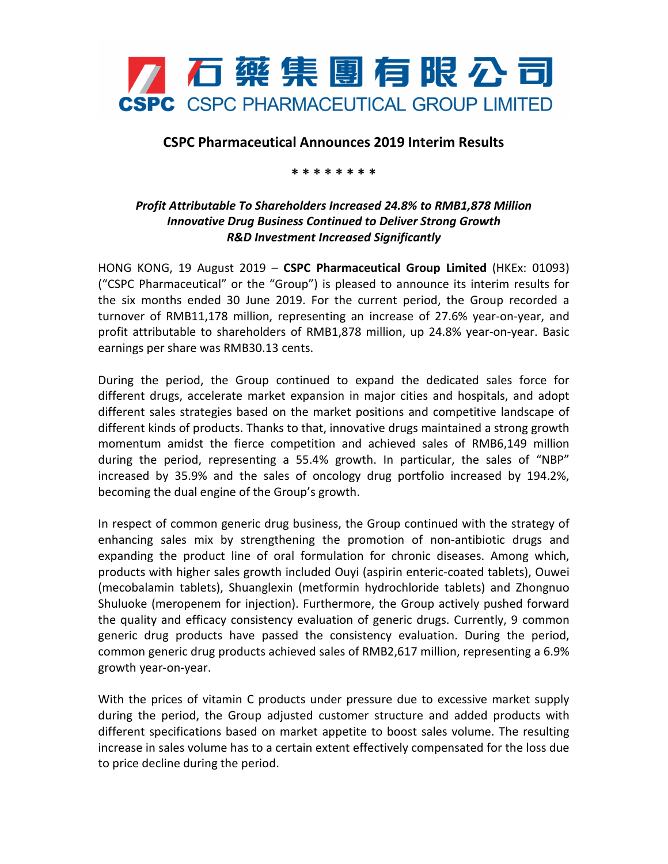

## **CSPC Pharmaceutical Announces 2019 Interim Results**

## **\* \* \* \* \* \* \* \***

## *Profit Attributable To Shareholders Increased 24.8% to RMB1,878 Million Innovative Drug Business Continued to Deliver Strong Growth R&D Investment Increased Significantly*

HONG KONG, 19 August 2019 – **CSPC Pharmaceutical Group Limited** (HKEx: 01093) ("CSPC Pharmaceutical" or the "Group") is pleased to announce its interim results for the six months ended 30 June 2019. For the current period, the Group recorded a turnover of RMB11,178 million, representing an increase of 27.6% year-on-year, and profit attributable to shareholders of RMB1,878 million, up 24.8% year-on-year. Basic earnings per share was RMB30.13 cents.

During the period, the Group continued to expand the dedicated sales force for different drugs, accelerate market expansion in major cities and hospitals, and adopt different sales strategies based on the market positions and competitive landscape of different kinds of products. Thanks to that, innovative drugs maintained a strong growth momentum amidst the fierce competition and achieved sales of RMB6,149 million during the period, representing a 55.4% growth. In particular, the sales of "NBP" increased by 35.9% and the sales of oncology drug portfolio increased by 194.2%, becoming the dual engine of the Group's growth.

In respect of common generic drug business, the Group continued with the strategy of enhancing sales mix by strengthening the promotion of non-antibiotic drugs and expanding the product line of oral formulation for chronic diseases. Among which, products with higher sales growth included Ouyi (aspirin enteric-coated tablets), Ouwei (mecobalamin tablets), Shuanglexin (metformin hydrochloride tablets) and Zhongnuo Shuluoke (meropenem for injection). Furthermore, the Group actively pushed forward the quality and efficacy consistency evaluation of generic drugs. Currently, 9 common generic drug products have passed the consistency evaluation. During the period, common generic drug products achieved sales of RMB2,617 million, representing a 6.9% growth year-on-year.

With the prices of vitamin C products under pressure due to excessive market supply during the period, the Group adjusted customer structure and added products with different specifications based on market appetite to boost sales volume. The resulting increase in sales volume has to a certain extent effectively compensated for the loss due to price decline during the period.